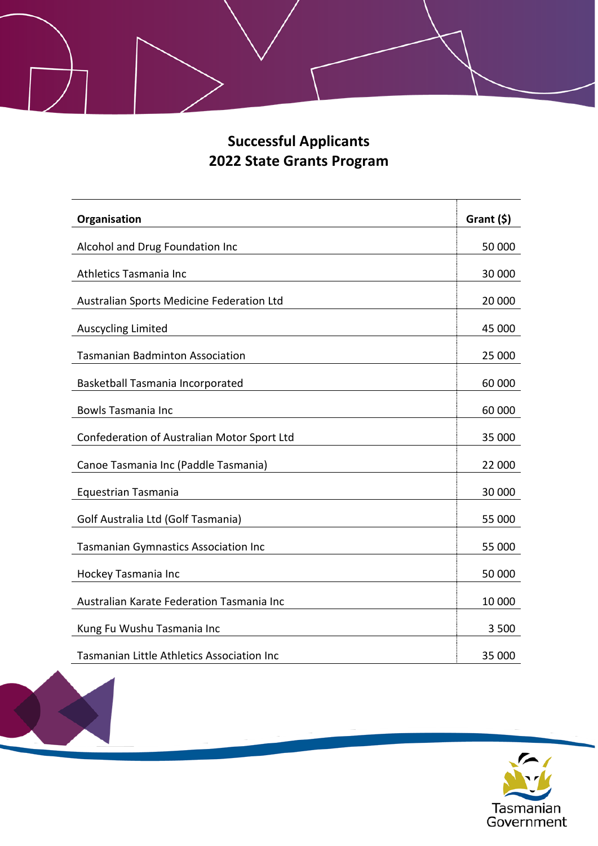## **Successful Applicants 2022 State Grants Program**

| Organisation                                      | Grant $(5)$ |
|---------------------------------------------------|-------------|
| Alcohol and Drug Foundation Inc                   | 50 000      |
| Athletics Tasmania Inc                            | 30 000      |
| Australian Sports Medicine Federation Ltd         | 20 000      |
| <b>Auscycling Limited</b>                         | 45 000      |
| <b>Tasmanian Badminton Association</b>            | 25 000      |
| Basketball Tasmania Incorporated                  | 60 000      |
| <b>Bowls Tasmania Inc</b>                         | 60 000      |
| Confederation of Australian Motor Sport Ltd       | 35 000      |
| Canoe Tasmania Inc (Paddle Tasmania)              | 22 000      |
| <b>Equestrian Tasmania</b>                        | 30 000      |
| Golf Australia Ltd (Golf Tasmania)                | 55 000      |
| <b>Tasmanian Gymnastics Association Inc</b>       | 55 000      |
| Hockey Tasmania Inc                               | 50 000      |
| Australian Karate Federation Tasmania Inc         | 10 000      |
| Kung Fu Wushu Tasmania Inc                        | 3 500       |
| <b>Tasmanian Little Athletics Association Inc</b> | 35 000      |